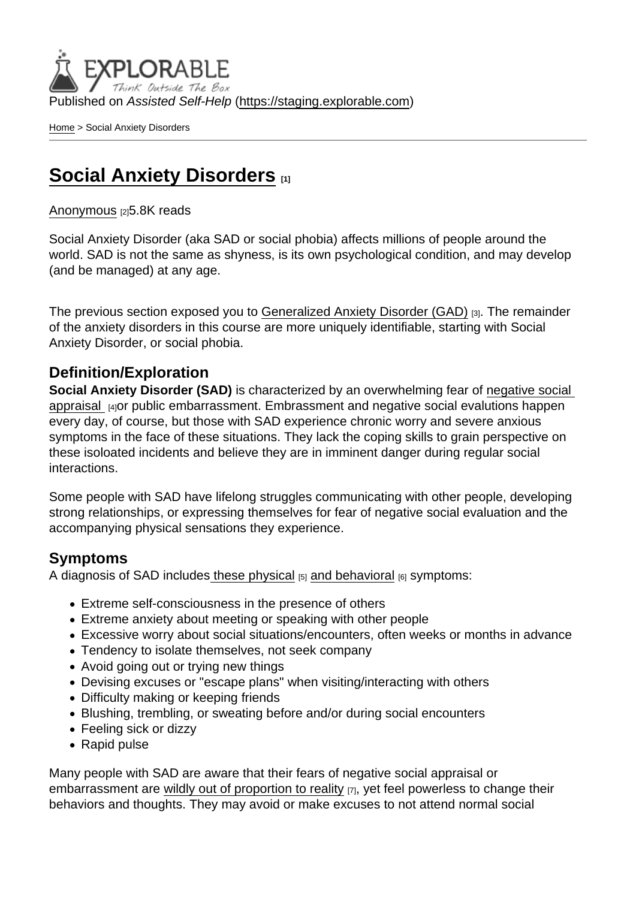Published on Assisted Self-Help [\(https://staging.explorable.com](https://staging.explorable.com))

[Home](https://staging.explorable.com/en) > Social Anxiety Disorders

# [Social Anxiety Disorders](https://staging.explorable.com/en/e/social-anxiety-disorders)

#### [Anonymous](https://staging.explorable.com/en/users/grharriman) [2]5.8K reads

Social Anxiety Disorder (aka SAD or social phobia) affects millions of people around the world. SAD is not the same as shyness, is its own psychological condition, and may develop (and be managed) at any age.

The previous section exposed you to [Generalized Anxiety Disorder \(GAD\)](https://explorable.com/general-anxiety-disorder-gad) [3]. The remainder of the anxiety disorders in this course are more uniquely identifiable, starting with Social Anxiety Disorder, or social phobia.

### Definition/Exploration

Social Anxiety Disorder (SAD) is characterized by an overwhelming fear of negative social [appraisal](https://socialanxietyinstitute.org/what-is-social-anxiety) 1410r public embarrassment. Embrassment and negative social evalutions happen every day, of course, but those with SAD experience chronic worry and severe anxious symptoms in the face of these situations. They lack the coping skills to grain perspective on these isoloated incidents and believe they are in imminent danger during regular social interactions.

Some people with SAD have lifelong struggles communicating with other people, developing strong relationships, or expressing themselves for fear of negative social evaluation and the accompanying physical sensations they experience.

### Symptoms

A diagnosis of SAD includes [these physical](http://www.nimh.nih.gov/health/topics/social-phobia-social-anxiety-disorder/index.shtml)  $[5]$  [and behavioral](http://www.mayoclinic.org/diseases-conditions/social-anxiety-disorder/basics/symptoms/con-20032524)  $[6]$  symptoms:

- Extreme self-consciousness in the presence of others
- Extreme anxiety about meeting or speaking with other people
- Excessive worry about social situations/encounters, often weeks or months in advance
- Tendency to isolate themselves, not seek company
- Avoid going out or trying new things
- Devising excuses or "escape plans" when visiting/interacting with others
- Difficulty making or keeping friends
- Blushing, trembling, or sweating before and/or during social encounters
- Feeling sick or dizzy
- Rapid pulse

Many people with SAD are aware that their fears of negative social appraisal or embarrassment are [wildly out of proportion to reality](http://www.psyweb.com/Mdisord/AnxietyDis/socphobia.jsp) [7], yet feel powerless to change their behaviors and thoughts. They may avoid or make excuses to not attend normal social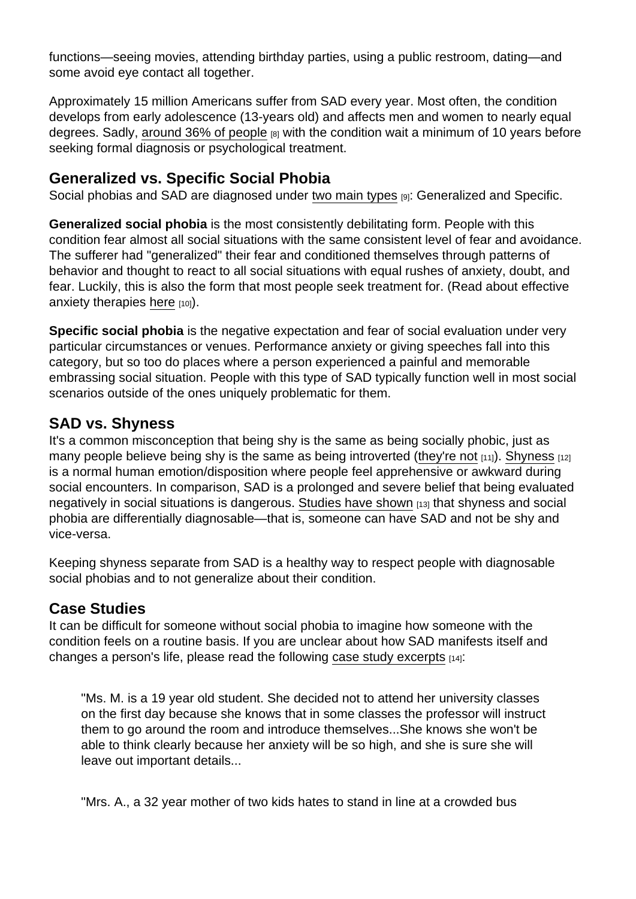functions—seeing movies, attending birthday parties, using a public restroom, dating—and some avoid eye contact all together.

Approximately 15 million Americans suffer from SAD every year. Most often, the condition develops from early adolescence (13-years old) and affects men and women to nearly equal degrees. Sadly, [around 36% of people](http://www.adaa.org/understanding-anxiety/social-anxiety-disorder)  $_{[8]}$  with the condition wait a minimum of 10 years before seeking formal diagnosis or psychological treatment.

# Generalized vs. Specific Social Phobia

Social phobias and SAD are diagnosed under [two main types](http://www.nytimes.com/health/guides/disease/generalized-anxiety-disorder/print.html) [9]: Generalized and Specific.

Generalized social phobia is the most consistently debilitating form. People with this condition fear almost all social situations with the same consistent level of fear and avoidance. The sufferer had "generalized" their fear and conditioned themselves through patterns of behavior and thought to react to all social situations with equal rushes of anxiety, doubt, and fear. Luckily, this is also the form that most people seek treatment for. (Read about effective anxiety therapies [here](https://explorable.com/cognitive-behavioral-therapy-cbt) [10]).

Specific social phobia is the negative expectation and fear of social evaluation under very particular circumstances or venues. Performance anxiety or giving speeches fall into this category, but so too do places where a person experienced a painful and memorable embrassing social situation. People with this type of SAD typically function well in most social scenarios outside of the ones uniquely problematic for them.

# SAD vs. Shyness

It's a common misconception that being shy is the same as being socially phobic, just as many people believe being shy is the same as being introverted ([they're not](https://www.psychologytoday.com/blog/the-introverts-corner/200910/introversion-vs-shyness-the-discussion-continues)  $[11]$ ). [Shyness](http://www.apa.org/topics/shyness/)  $[12]$ is a normal human emotion/disposition where people feel apprehensive or awkward during social encounters. In comparison, SAD is a prolonged and severe belief that being evaluated negatively in social situations is dangerous. [Studies have shown](http://www.nimh.nih.gov/news/science-news/2011/national-survey-dispels-notion-that-social-phobia-is-the-same-as-shyness.shtml) [13] that shyness and social phobia are differentially diagnosable—that is, someone can have SAD and not be shy and vice-versa.

Keeping shyness separate from SAD is a healthy way to respect people with diagnosable social phobias and to not generalize about their condition.

## Case Studies

It can be difficult for someone without social phobia to imagine how someone with the condition feels on a routine basis. If you are unclear about how SAD manifests itself and changes a person's life, please read the following [case study excerpts](http://www.psydoctor.com/2008/08/case-studies-social-phobia.html) [14]:

"Ms. M. is a 19 year old student. She decided not to attend her university classes on the first day because she knows that in some classes the professor will instruct them to go around the room and introduce themselves...She knows she won't be able to think clearly because her anxiety will be so high, and she is sure she will leave out important details...

"Mrs. A., a 32 year mother of two kids hates to stand in line at a crowded bus